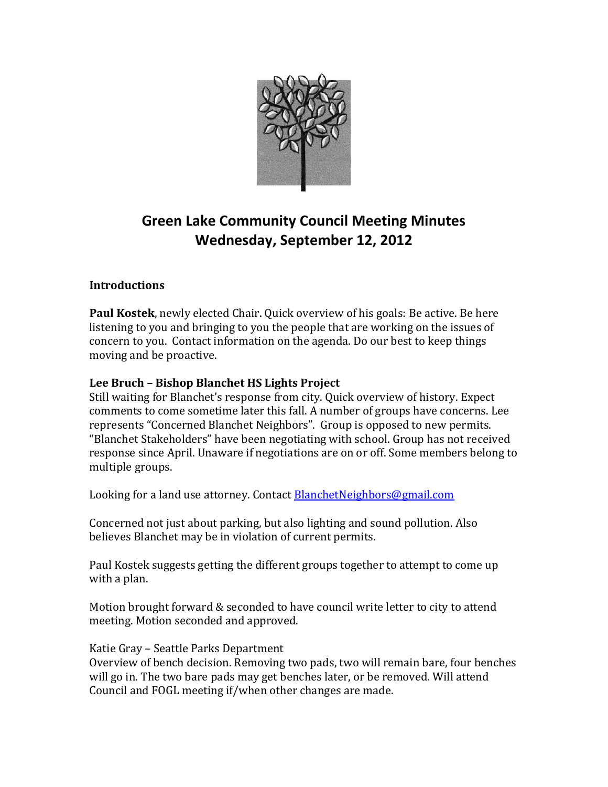

# **Green Lake Community Council Meeting Minutes Wednesday, September 12, 2012**

# **Introductions**

**Paul Kostek**, newly elected Chair. Quick overview of his goals: Be active. Be here listening to you and bringing to you the people that are working on the issues of concern to you. Contact information on the agenda. Do our best to keep things moving and be proactive.

# **Lee Bruch – Bishop Blanchet HS Lights Project**

Still waiting for Blanchet's response from city. Quick overview of history. Expect comments to come sometime later this fall. A number of groups have concerns. Lee represents "Concerned Blanchet Neighbors". Group is opposed to new permits. "Blanchet Stakeholders" have been negotiating with school. Group has not received response since April. Unaware if negotiations are on or off. Some members belong to multiple groups.

Looking for a land use attorney. Contact [BlanchetNeighbors@gmail.com](mailto:BlanchetNeighbors@gmail.com)

Concerned not just about parking, but also lighting and sound pollution. Also believes Blanchet may be in violation of current permits.

Paul Kostek suggests getting the different groups together to attempt to come up with a plan.

Motion brought forward & seconded to have council write letter to city to attend meeting. Motion seconded and approved.

# Katie Gray – Seattle Parks Department

Overview of bench decision. Removing two pads, two will remain bare, four benches will go in. The two bare pads may get benches later, or be removed. Will attend Council and FOGL meeting if/when other changes are made.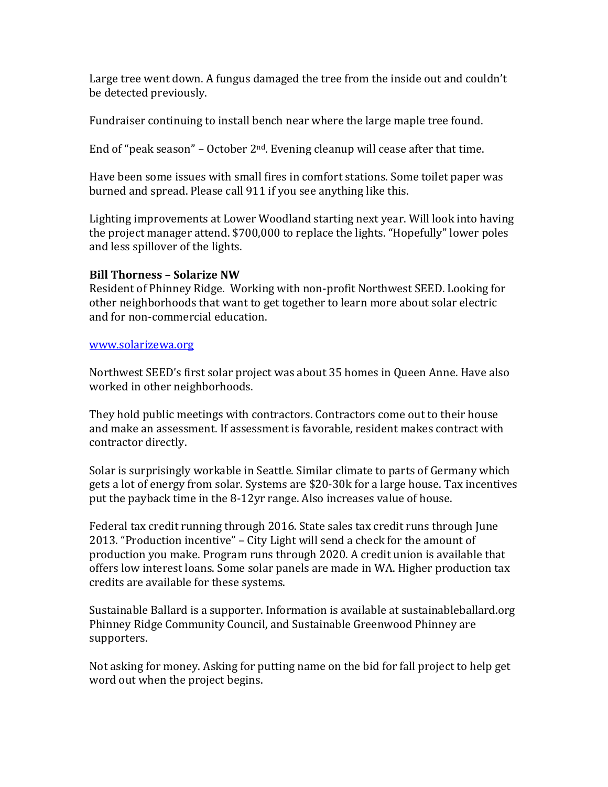Large tree went down. A fungus damaged the tree from the inside out and couldn't be detected previously.

Fundraiser continuing to install bench near where the large maple tree found.

End of "peak season" – October  $2<sup>nd</sup>$ . Evening cleanup will cease after that time.

Have been some issues with small fires in comfort stations. Some toilet paper was burned and spread. Please call 911 if you see anything like this.

Lighting improvements at Lower Woodland starting next year. Will look into having the project manager attend. \$700,000 to replace the lights. "Hopefully" lower poles and less spillover of the lights.

## **Bill Thorness – Solarize NW**

Resident of Phinney Ridge. Working with non-profit Northwest SEED. Looking for other neighborhoods that want to get together to learn more about solar electric and for non-commercial education.

#### [www.solarizewa.org](http://www.solarizewa.org/)

Northwest SEED's first solar project was about 35 homes in Queen Anne. Have also worked in other neighborhoods.

They hold public meetings with contractors. Contractors come out to their house and make an assessment. If assessment is favorable, resident makes contract with contractor directly.

Solar is surprisingly workable in Seattle. Similar climate to parts of Germany which gets a lot of energy from solar. Systems are \$20-30k for a large house. Tax incentives put the payback time in the 8-12yr range. Also increases value of house.

Federal tax credit running through 2016. State sales tax credit runs through June 2013. "Production incentive" – City Light will send a check for the amount of production you make. Program runs through 2020. A credit union is available that offers low interest loans. Some solar panels are made in WA. Higher production tax credits are available for these systems.

Sustainable Ballard is a supporter. Information is available at sustainableballard.org Phinney Ridge Community Council, and Sustainable Greenwood Phinney are supporters.

Not asking for money. Asking for putting name on the bid for fall project to help get word out when the project begins.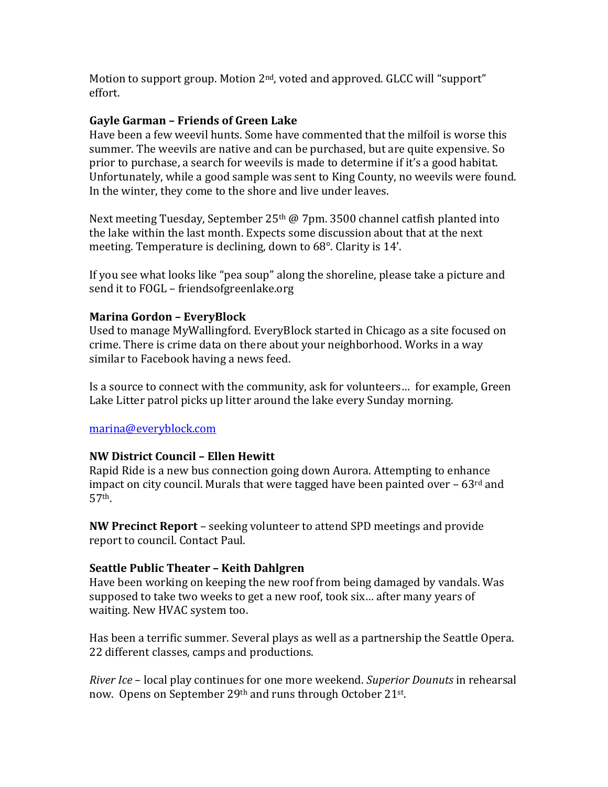Motion to support group. Motion 2<sup>nd</sup>, voted and approved. GLCC will "support" effort.

### **Gayle Garman – Friends of Green Lake**

Have been a few weevil hunts. Some have commented that the milfoil is worse this summer. The weevils are native and can be purchased, but are quite expensive. So prior to purchase, a search for weevils is made to determine if it's a good habitat. Unfortunately, while a good sample was sent to King County, no weevils were found. In the winter, they come to the shore and live under leaves.

Next meeting Tuesday, September 25<sup>th</sup> @ 7pm. 3500 channel catfish planted into the lake within the last month. Expects some discussion about that at the next meeting. Temperature is declining, down to 68°. Clarity is 14'.

If you see what looks like "pea soup" along the shoreline, please take a picture and send it to FOGL – friendsofgreenlake.org

#### **Marina Gordon – EveryBlock**

Used to manage MyWallingford. EveryBlock started in Chicago as a site focused on crime. There is crime data on there about your neighborhood. Works in a way similar to Facebook having a news feed.

Is a source to connect with the community, ask for volunteers… for example, Green Lake Litter patrol picks up litter around the lake every Sunday morning.

#### [marina@everyblock.com](mailto:marina@everyblock.com)

#### **NW District Council – Ellen Hewitt**

Rapid Ride is a new bus connection going down Aurora. Attempting to enhance impact on city council. Murals that were tagged have been painted over  $-63<sup>rd</sup>$  and 57th.

**NW Precinct Report** – seeking volunteer to attend SPD meetings and provide report to council. Contact Paul.

#### **Seattle Public Theater – Keith Dahlgren**

Have been working on keeping the new roof from being damaged by vandals. Was supposed to take two weeks to get a new roof, took six… after many years of waiting. New HVAC system too.

Has been a terrific summer. Several plays as well as a partnership the Seattle Opera. 22 different classes, camps and productions.

*River Ice* – local play continues for one more weekend. *Superior Dounuts* in rehearsal now. Opens on September 29th and runs through October 21st.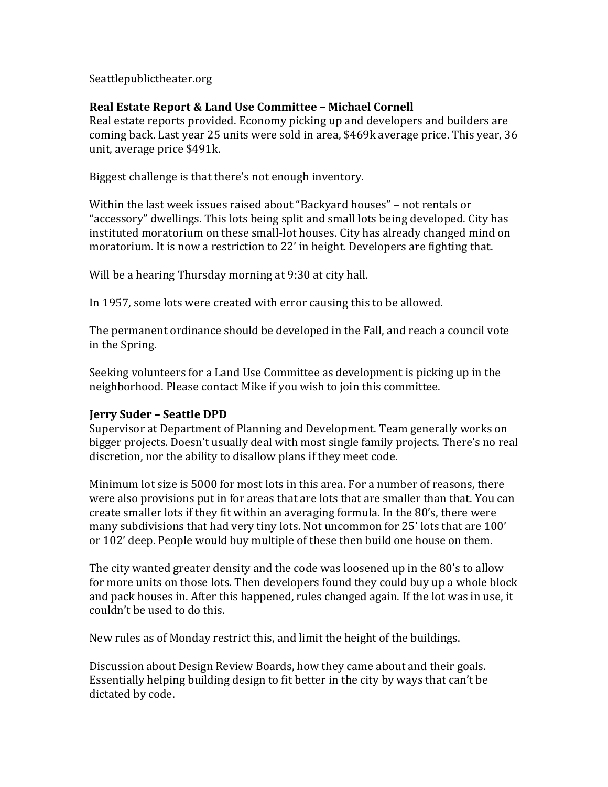Seattlepublictheater.org

#### **Real Estate Report & Land Use Committee – Michael Cornell**

Real estate reports provided. Economy picking up and developers and builders are coming back. Last year 25 units were sold in area, \$469k average price. This year, 36 unit, average price \$491k.

Biggest challenge is that there's not enough inventory.

Within the last week issues raised about "Backyard houses" – not rentals or "accessory" dwellings. This lots being split and small lots being developed. City has instituted moratorium on these small-lot houses. City has already changed mind on moratorium. It is now a restriction to 22' in height. Developers are fighting that.

Will be a hearing Thursday morning at 9:30 at city hall.

In 1957, some lots were created with error causing this to be allowed.

The permanent ordinance should be developed in the Fall, and reach a council vote in the Spring.

Seeking volunteers for a Land Use Committee as development is picking up in the neighborhood. Please contact Mike if you wish to join this committee.

#### **Jerry Suder – Seattle DPD**

Supervisor at Department of Planning and Development. Team generally works on bigger projects. Doesn't usually deal with most single family projects. There's no real discretion, nor the ability to disallow plans if they meet code.

Minimum lot size is 5000 for most lots in this area. For a number of reasons, there were also provisions put in for areas that are lots that are smaller than that. You can create smaller lots if they fit within an averaging formula. In the 80's, there were many subdivisions that had very tiny lots. Not uncommon for 25' lots that are 100' or 102' deep. People would buy multiple of these then build one house on them.

The city wanted greater density and the code was loosened up in the 80's to allow for more units on those lots. Then developers found they could buy up a whole block and pack houses in. After this happened, rules changed again. If the lot was in use, it couldn't be used to do this.

New rules as of Monday restrict this, and limit the height of the buildings.

Discussion about Design Review Boards, how they came about and their goals. Essentially helping building design to fit better in the city by ways that can't be dictated by code.